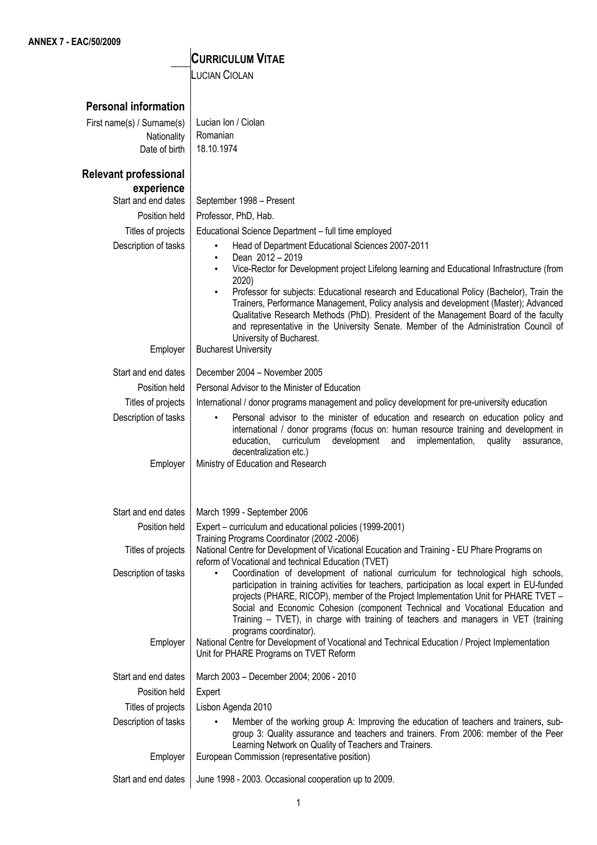## **CURRICULUM VITAE**

LUCIAN CIOLAN

| <b>Personal information</b>                                                                                                                                              |            |
|--------------------------------------------------------------------------------------------------------------------------------------------------------------------------|------------|
| Lucian Ion / Ciolan<br>First name(s) / Surname(s)                                                                                                                        |            |
| Romanian<br>Nationality                                                                                                                                                  |            |
| 18.10.1974<br>Date of birth                                                                                                                                              |            |
|                                                                                                                                                                          |            |
| <b>Relevant professional</b>                                                                                                                                             |            |
| experience                                                                                                                                                               |            |
| Start and end dates<br>September 1998 - Present                                                                                                                          |            |
| Position held<br>Professor, PhD, Hab.                                                                                                                                    |            |
| Titles of projects<br>Educational Science Department - full time employed                                                                                                |            |
| Description of tasks<br>Head of Department Educational Sciences 2007-2011                                                                                                |            |
| Dean 2012 - 2019<br>$\bullet$                                                                                                                                            |            |
| Vice-Rector for Development project Lifelong learning and Educational Infrastructure (from<br>2020)                                                                      |            |
| Professor for subjects: Educational research and Educational Policy (Bachelor), Train the                                                                                |            |
| Trainers, Performance Management, Policy analysis and development (Master); Advanced                                                                                     |            |
| Qualitative Research Methods (PhD). President of the Management Board of the faculty                                                                                     |            |
| and representative in the University Senate. Member of the Administration Council of                                                                                     |            |
| University of Bucharest.<br><b>Bucharest University</b><br>Employer                                                                                                      |            |
|                                                                                                                                                                          |            |
| December 2004 - November 2005<br>Start and end dates                                                                                                                     |            |
| Personal Advisor to the Minister of Education<br>Position held                                                                                                           |            |
| Titles of projects<br>International / donor programs management and policy development for pre-university education                                                      |            |
| Description of tasks<br>Personal advisor to the minister of education and research on education policy and                                                               |            |
| international / donor programs (focus on: human resource training and development in                                                                                     |            |
| development<br>curriculum<br>implementation,<br>quality<br>education,<br>and<br>decentralization etc.)                                                                   | assurance, |
| Ministry of Education and Research<br>Employer                                                                                                                           |            |
|                                                                                                                                                                          |            |
|                                                                                                                                                                          |            |
| Start and end dates<br>March 1999 - September 2006                                                                                                                       |            |
| Position held<br>Expert – curriculum and educational policies (1999-2001)                                                                                                |            |
| Training Programs Coordinator (2002 - 2006)                                                                                                                              |            |
| Titles of projects<br>National Centre for Development of Vicational Ecucation and Training - EU Phare Programs on<br>reform of Vocational and technical Education (TVET) |            |
| Coordination of development of national curriculum for technological high schools,<br>Description of tasks<br>$\bullet$                                                  |            |
| participation in training activities for teachers, participation as local expert in EU-funded                                                                            |            |
| projects (PHARE, RICOP), member of the Project Implementation Unit for PHARE TVET -                                                                                      |            |
| Social and Economic Cohesion (component Technical and Vocational Education and<br>Training - TVET), in charge with training of teachers and managers in VET (training    |            |
| programs coordinator).                                                                                                                                                   |            |
| National Centre for Development of Vocational and Technical Education / Project Implementation<br>Employer                                                               |            |
| Unit for PHARE Programs on TVET Reform                                                                                                                                   |            |
| Start and end dates<br>March 2003 - December 2004; 2006 - 2010                                                                                                           |            |
|                                                                                                                                                                          |            |
|                                                                                                                                                                          |            |
| Position held<br>Expert                                                                                                                                                  |            |
| Titles of projects<br>Lisbon Agenda 2010                                                                                                                                 |            |
| Description of tasks<br>Member of the working group A: Improving the education of teachers and trainers, sub-                                                            |            |
| group 3: Quality assurance and teachers and trainers. From 2006: member of the Peer<br>Learning Network on Quality of Teachers and Trainers.                             |            |
| Employer<br>European Commission (representative position)                                                                                                                |            |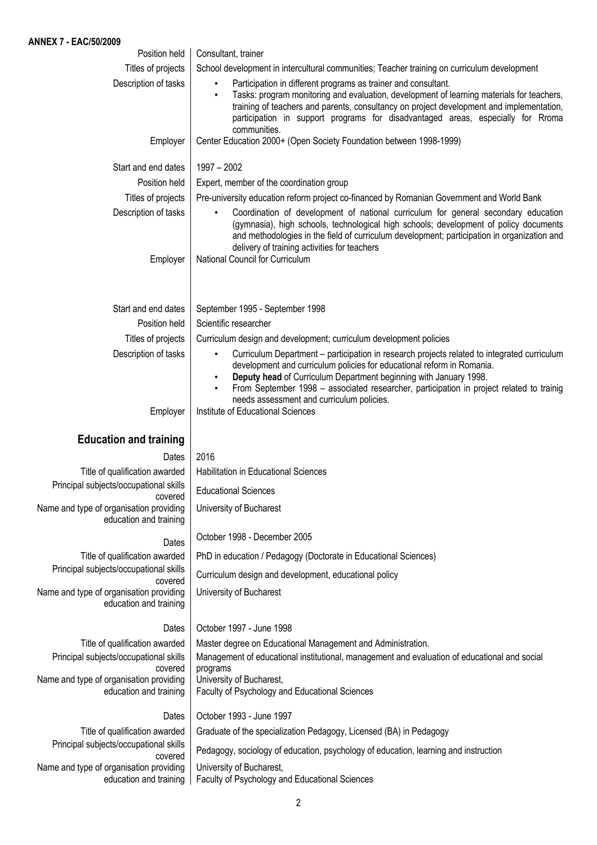| Position held                                                                | Consultant, trainer                                                                                                                                                                                                                                                                                                                                                                                   |
|------------------------------------------------------------------------------|-------------------------------------------------------------------------------------------------------------------------------------------------------------------------------------------------------------------------------------------------------------------------------------------------------------------------------------------------------------------------------------------------------|
| Titles of projects                                                           | School development in intercultural communities; Teacher training on curriculum development                                                                                                                                                                                                                                                                                                           |
| Description of tasks                                                         | Participation in different programs as trainer and consultant.<br>$\bullet$<br>Tasks: program monitoring and evaluation, development of learning materials for teachers,<br>$\bullet$<br>training of teachers and parents, consultancy on project development and implementation,<br>participation in support programs for disadvantaged areas, especially for Rroma<br>communities.                  |
| Employer                                                                     | Center Education 2000+ (Open Society Foundation between 1998-1999)                                                                                                                                                                                                                                                                                                                                    |
| Start and end dates                                                          | $1997 - 2002$                                                                                                                                                                                                                                                                                                                                                                                         |
| Position held                                                                | Expert, member of the coordination group                                                                                                                                                                                                                                                                                                                                                              |
| Titles of projects                                                           | Pre-university education reform project co-financed by Romanian Government and World Bank                                                                                                                                                                                                                                                                                                             |
| Description of tasks                                                         | Coordination of development of national curriculum for general secondary education<br>$\bullet$<br>(gymnasia), high schools, technological high schools; development of policy documents<br>and methodologies in the field of curriculum development; participation in organization and<br>delivery of training activities for teachers                                                               |
| Employer                                                                     | National Council for Curriculum                                                                                                                                                                                                                                                                                                                                                                       |
| Start and end dates                                                          | September 1995 - September 1998                                                                                                                                                                                                                                                                                                                                                                       |
| Position held                                                                | Scientific researcher                                                                                                                                                                                                                                                                                                                                                                                 |
| Titles of projects                                                           | Curriculum design and development; curriculum development policies                                                                                                                                                                                                                                                                                                                                    |
| Description of tasks                                                         | Curriculum Department - participation in research projects related to integrated curriculum<br>٠<br>development and curriculum policies for educational reform in Romania.<br>Deputy head of Curriculum Department beginning with January 1998.<br>From September 1998 - associated researcher, participation in project related to trainig<br>$\bullet$<br>needs assessment and curriculum policies. |
| Employer                                                                     | Institute of Educational Sciences                                                                                                                                                                                                                                                                                                                                                                     |
| <b>Education and training</b>                                                |                                                                                                                                                                                                                                                                                                                                                                                                       |
| Dates                                                                        | 2016                                                                                                                                                                                                                                                                                                                                                                                                  |
| Title of qualification awarded                                               | <b>Habilitation in Educational Sciences</b>                                                                                                                                                                                                                                                                                                                                                           |
|                                                                              |                                                                                                                                                                                                                                                                                                                                                                                                       |
| Principal subjects/occupational skills                                       | <b>Educational Sciences</b>                                                                                                                                                                                                                                                                                                                                                                           |
| covered<br>Name and type of organisation providing<br>education and training | University of Bucharest                                                                                                                                                                                                                                                                                                                                                                               |
| Dates                                                                        | October 1998 - December 2005                                                                                                                                                                                                                                                                                                                                                                          |
| Title of qualification awarded                                               | PhD in education / Pedagogy (Doctorate in Educational Sciences)                                                                                                                                                                                                                                                                                                                                       |
| Principal subjects/occupational skills                                       | Curriculum design and development, educational policy                                                                                                                                                                                                                                                                                                                                                 |
| covered<br>Name and type of organisation providing<br>education and training | University of Bucharest                                                                                                                                                                                                                                                                                                                                                                               |
|                                                                              |                                                                                                                                                                                                                                                                                                                                                                                                       |
| Dates                                                                        | October 1997 - June 1998                                                                                                                                                                                                                                                                                                                                                                              |
| Title of qualification awarded<br>Principal subjects/occupational skills     | Master degree on Educational Management and Administration.<br>Management of educational institutional, management and evaluation of educational and social                                                                                                                                                                                                                                           |
| covered<br>Name and type of organisation providing<br>education and training | programs<br>University of Bucharest,<br>Faculty of Psychology and Educational Sciences                                                                                                                                                                                                                                                                                                                |
| Dates                                                                        | October 1993 - June 1997                                                                                                                                                                                                                                                                                                                                                                              |
| Title of qualification awarded                                               | Graduate of the specialization Pedagogy, Licensed (BA) in Pedagogy                                                                                                                                                                                                                                                                                                                                    |
| Principal subjects/occupational skills<br>covered                            | Pedagogy, sociology of education, psychology of education, learning and instruction                                                                                                                                                                                                                                                                                                                   |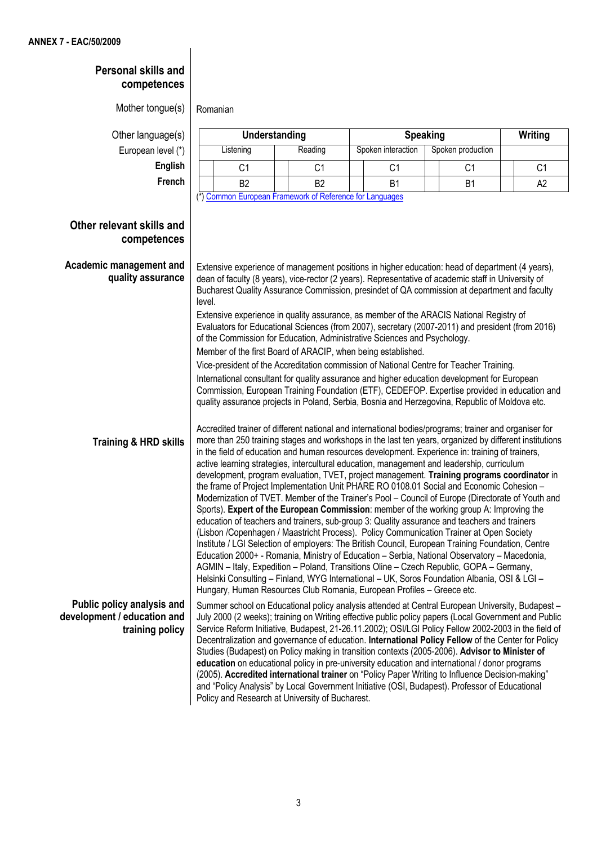## **Personal skills and competences** Mother tongue(s)  $\vert$  Romanian Other language(s) **Understanding Speaking Writing** European level (\*) | Listening | Reading | Spoken interaction | Spoken production **English | | C1 | C1 | C1 | C1 | C1 | C1** C1 **French** B2 B2 B1 B1 A2 (\*) Common European Framework of Reference for Languages **Other relevant skills and competences Academic management and quality assurance Training & HRD skills** Extensive experience of management positions in higher education: head of department (4 years), dean of faculty (8 years), vice-rector (2 years). Representative of academic staff in University of Bucharest Quality Assurance Commission, presindet of QA commission at department and faculty level. Extensive experience in quality assurance, as member of the ARACIS National Registry of Evaluators for Educational Sciences (from 2007), secretary (2007-2011) and president (from 2016) of the Commission for Education, Administrative Sciences and Psychology. Member of the first Board of ARACIP, when being established. Vice-president of the Accreditation commission of National Centre for Teacher Training. International consultant for quality assurance and higher education development for European Commission, European Training Foundation (ETF), CEDEFOP. Expertise provided in education and quality assurance projects in Poland, Serbia, Bosnia and Herzegovina, Republic of Moldova etc. Accredited trainer of different national and international bodies/programs; trainer and organiser for more than 250 training stages and workshops in the last ten years, organized by different institutions in the field of education and human resources development. Experience in: training of trainers, active learning strategies, intercultural education, management and leadership, curriculum development, program evaluation, TVET, project management. **Training programs coordinator** in the frame of Project Implementation Unit PHARE RO 0108.01 Social and Economic Cohesion – Modernization of TVET. Member of the Trainer's Pool – Council of Europe (Directorate of Youth and Sports). **Expert of the European Commission**: member of the working group A: Improving the education of teachers and trainers, sub-group 3: Quality assurance and teachers and trainers (Lisbon /Copenhagen / Maastricht Process). Policy Communication Trainer at Open Society Institute / LGI Selection of employers: The British Council, European Training Foundation, Centre Education 2000+ - Romania, Ministry of Education – Serbia, National Observatory – Macedonia, AGMIN – Italy, Expedition – Poland, Transitions Oline – Czech Republic, GOPA – Germany, Helsinki Consulting – Finland, WYG International – UK, Soros Foundation Albania, OSI & LGI – Hungary, Human Resources Club Romania, European Profiles – Greece etc. **Public policy analysis and development / education and training policy** Summer school on Educational policy analysis attended at Central European University, Budapest – July 2000 (2 weeks); training on Writing effective public policy papers (Local Government and Public Service Reform Initiative, Budapest, 21-26.11.2002); OSI/LGI Policy Fellow 2002-2003 in the field of Decentralization and governance of education. **International Policy Fellow** of the Center for Policy Studies (Budapest) on Policy making in transition contexts (2005-2006). **Advisor to Minister of education** on educational policy in pre-university education and international / donor programs (2005). **Accredited international trainer** on "Policy Paper Writing to Influence Decision-making" and "Policy Analysis" by Local Government Initiative (OSI, Budapest). Professor of Educational Policy and Research at University of Bucharest.